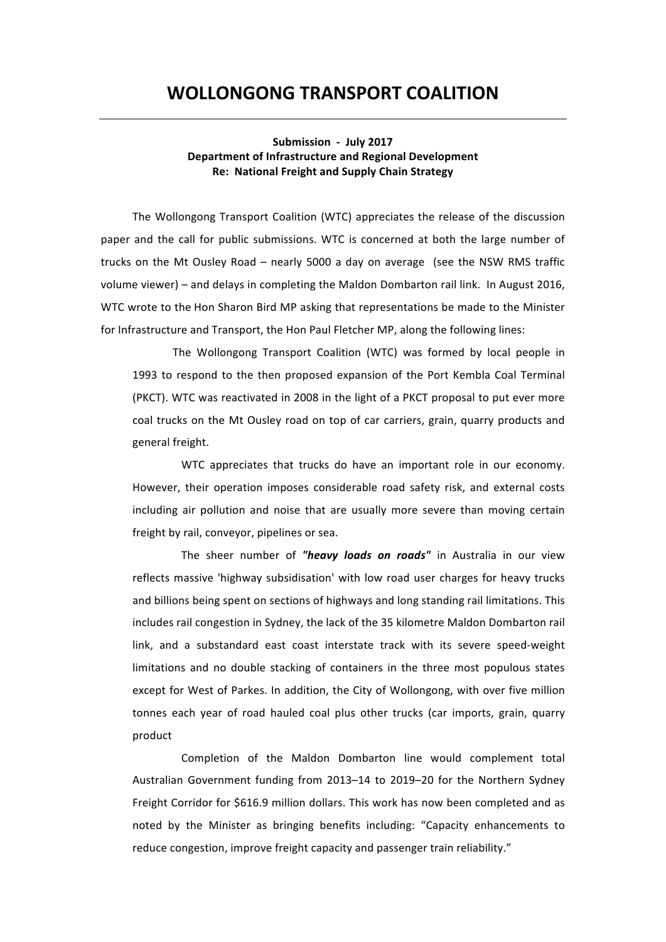# **WOLLONGONG&TRANSPORT&COALITION**

Submission - July 2017 **Department of Infrastructure and Regional Development Re: National Freight and Supply Chain Strategy** 

The Wollongong Transport Coalition (WTC) appreciates the release of the discussion paper and the call for public submissions. WTC is concerned at both the large number of trucks on the Mt Ousley Road – nearly 5000 a day on average (see the NSW RMS traffic volume viewer) – and delays in completing the Maldon Dombarton rail link. In August 2016, WTC wrote to the Hon Sharon Bird MP asking that representations be made to the Minister for Infrastructure and Transport, the Hon Paul Fletcher MP, along the following lines:

The Wollongong Transport Coalition (WTC) was formed by local people in 1993 to respond to the then proposed expansion of the Port Kembla Coal Terminal (PKCT). WTC was reactivated in 2008 in the light of a PKCT proposal to put ever more coal trucks on the Mt Ousley road on top of car carriers, grain, quarry products and general freight.

WTC appreciates that trucks do have an important role in our economy. However, their operation imposes considerable road safety risk, and external costs including air pollution and noise that are usually more severe than moving certain freight by rail, conveyor, pipelines or sea.

The sheer number of "heavy loads on roads" in Australia in our view reflects massive 'highway subsidisation' with low road user charges for heavy trucks and billions being spent on sections of highways and long standing rail limitations. This includes rail congestion in Sydney, the lack of the 35 kilometre Maldon Dombarton rail link, and a substandard east coast interstate track with its severe speed-weight limitations and no double stacking of containers in the three most populous states except for West of Parkes. In addition, the City of Wollongong, with over five million tonnes each year of road hauled coal plus other trucks (car imports, grain, quarry product

Completion of the Maldon Dombarton line would complement total Australian Government funding from 2013–14 to 2019–20 for the Northern Sydney Freight Corridor for \$616.9 million dollars. This work has now been completed and as noted by the Minister as bringing benefits including: "Capacity enhancements to reduce congestion, improve freight capacity and passenger train reliability."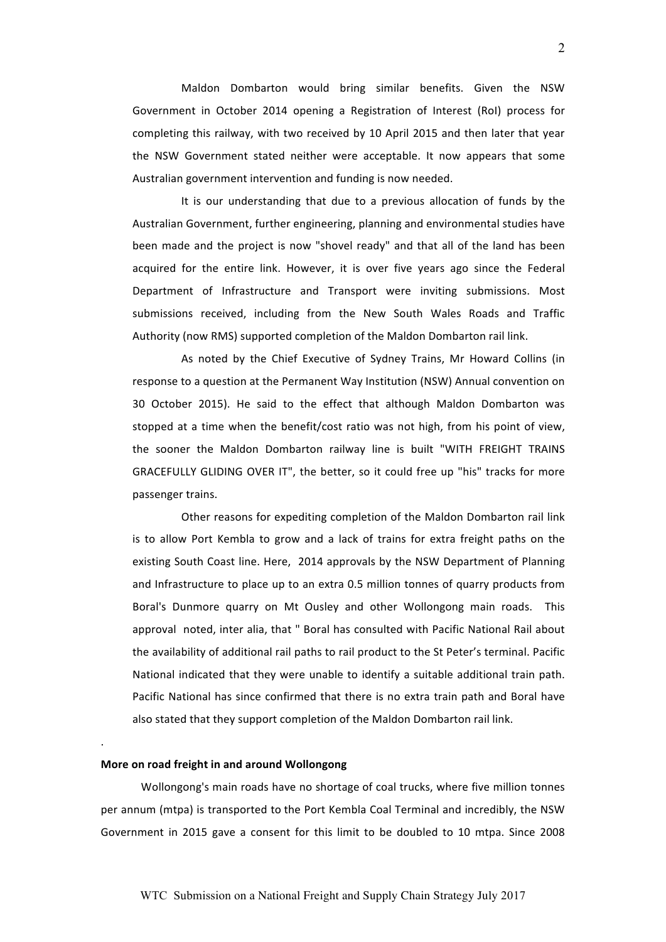Maldon Dombarton would bring similar benefits. Given the NSW Government in October 2014 opening a Registration of Interest (RoI) process for completing this railway, with two received by 10 April 2015 and then later that year the NSW Government stated neither were acceptable. It now appears that some Australian government intervention and funding is now needed.

It is our understanding that due to a previous allocation of funds by the Australian Government, further engineering, planning and environmental studies have been made and the project is now "shovel ready" and that all of the land has been acquired for the entire link. However, it is over five years ago since the Federal Department of Infrastructure and Transport were inviting submissions. Most submissions received, including from the New South Wales Roads and Traffic Authority (now RMS) supported completion of the Maldon Dombarton rail link.

As noted by the Chief Executive of Sydney Trains, Mr Howard Collins (in response to a question at the Permanent Way Institution (NSW) Annual convention on 30 October 2015). He said to the effect that although Maldon Dombarton was stopped at a time when the benefit/cost ratio was not high, from his point of view, the sooner the Maldon Dombarton railway line is built "WITH FREIGHT TRAINS GRACEFULLY GLIDING OVER IT", the better, so it could free up "his" tracks for more passenger trains.

Other reasons for expediting completion of the Maldon Dombarton rail link is to allow Port Kembla to grow and a lack of trains for extra freight paths on the existing South Coast line. Here, 2014 approvals by the NSW Department of Planning and Infrastructure to place up to an extra 0.5 million tonnes of quarry products from Boral's Dunmore quarry on Mt Ousley and other Wollongong main roads. This approval noted, inter alia, that " Boral has consulted with Pacific National Rail about the availability of additional rail paths to rail product to the St Peter's terminal. Pacific National indicated that they were unable to identify a suitable additional train path. Pacific National has since confirmed that there is no extra train path and Boral have also stated that they support completion of the Maldon Dombarton rail link.

## **More on road freight in and around Wollongong**

.<br>.

Wollongong's main roads have no shortage of coal trucks, where five million tonnes per annum (mtpa) is transported to the Port Kembla Coal Terminal and incredibly, the NSW Government in 2015 gave a consent for this limit to be doubled to 10 mtpa. Since 2008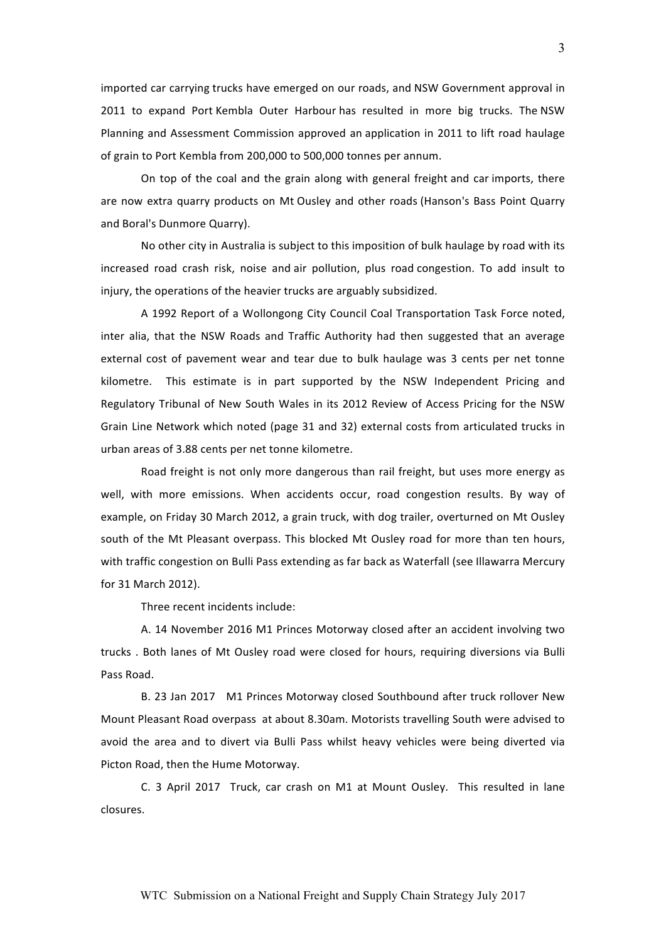imported car carrying trucks have emerged on our roads, and NSW Government approval in 2011 to expand Port Kembla Outer Harbour has resulted in more big trucks. The NSW Planning and Assessment Commission approved an application in 2011 to lift road haulage of grain to Port Kembla from 200,000 to 500,000 tonnes per annum.

On top of the coal and the grain along with general freight and car imports, there are now extra quarry products on Mt Ousley and other roads (Hanson's Bass Point Quarry and Boral's Dunmore Quarry).

No other city in Australia is subject to this imposition of bulk haulage by road with its increased road crash risk, noise and air pollution, plus road congestion. To add insult to injury, the operations of the heavier trucks are arguably subsidized.

A 1992 Report of a Wollongong City Council Coal Transportation Task Force noted, inter alia, that the NSW Roads and Traffic Authority had then suggested that an average external cost of pavement wear and tear due to bulk haulage was 3 cents per net tonne kilometre. This estimate is in part supported by the NSW Independent Pricing and Regulatory Tribunal of New South Wales in its 2012 Review of Access Pricing for the NSW Grain Line Network which noted (page 31 and 32) external costs from articulated trucks in urban areas of 3.88 cents per net tonne kilometre.

Road freight is not only more dangerous than rail freight, but uses more energy as well, with more emissions. When accidents occur, road congestion results. By way of example, on Friday 30 March 2012, a grain truck, with dog trailer, overturned on Mt Ousley south of the Mt Pleasant overpass. This blocked Mt Ousley road for more than ten hours, with traffic congestion on Bulli Pass extending as far back as Waterfall (see Illawarra Mercury for 31 March 2012).

Three recent incidents include:

A. 14 November 2016 M1 Princes Motorway closed after an accident involving two trucks . Both lanes of Mt Ousley road were closed for hours, requiring diversions via Bulli Pass Road.

B. 23 Jan 2017 M1 Princes Motorway closed Southbound after truck rollover New Mount Pleasant Road overpass at about 8.30am. Motorists travelling South were advised to avoid the area and to divert via Bulli Pass whilst heavy vehicles were being diverted via Picton Road, then the Hume Motorway.

C. 3 April 2017 Truck, car crash on M1 at Mount Ousley. This resulted in lane closures.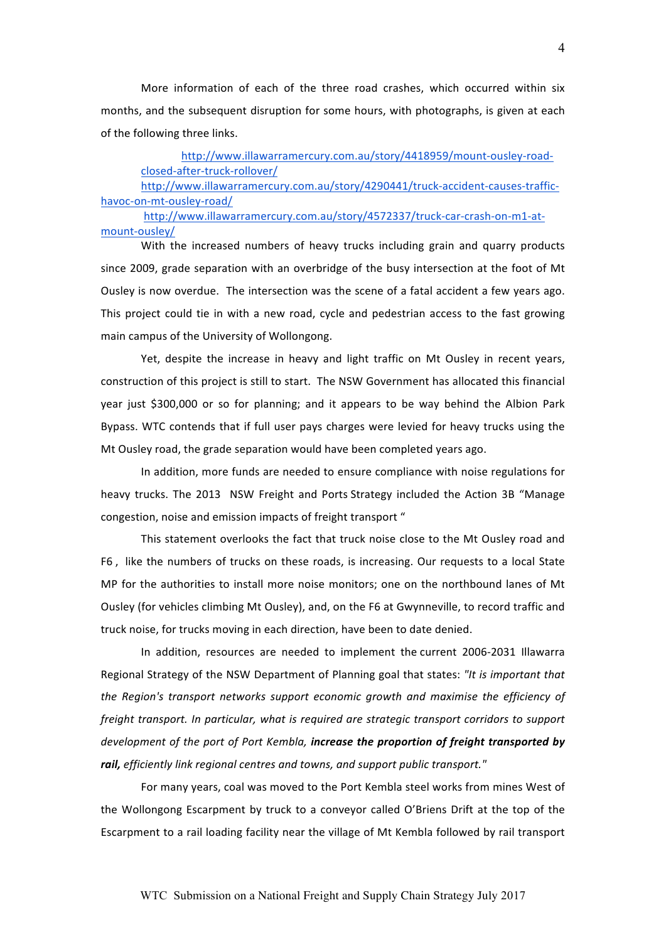More information of each of the three road crashes, which occurred within six months, and the subsequent disruption for some hours, with photographs, is given at each of the following three links.

# http://www.illawarramercury.com.au/story/4418959/mount-ousley-roadclosed-after-truck-rollover/

http://www.illawarramercury.com.au/story/4290441/truck-accident-causes-traffichavoc-on-mt-ousley-road/

http://www.illawarramercury.com.au/story/4572337/truck-car-crash-on-m1-atmount-ousley/

With the increased numbers of heavy trucks including grain and quarry products since 2009, grade separation with an overbridge of the busy intersection at the foot of Mt Ousley is now overdue. The intersection was the scene of a fatal accident a few years ago. This project could tie in with a new road, cycle and pedestrian access to the fast growing main campus of the University of Wollongong.

Yet, despite the increase in heavy and light traffic on Mt Ousley in recent years, construction of this project is still to start. The NSW Government has allocated this financial year just \$300,000 or so for planning; and it appears to be way behind the Albion Park Bypass. WTC contends that if full user pays charges were levied for heavy trucks using the Mt Ousley road, the grade separation would have been completed years ago.

In addition, more funds are needed to ensure compliance with noise regulations for heavy trucks. The 2013 NSW Freight and Ports Strategy included the Action 3B "Manage congestion, noise and emission impacts of freight transport "

This statement overlooks the fact that truck noise close to the Mt Ousley road and F6, like the numbers of trucks on these roads, is increasing. Our requests to a local State MP for the authorities to install more noise monitors; one on the northbound lanes of Mt Ousley (for vehicles climbing Mt Ousley), and, on the F6 at Gwynneville, to record traffic and truck noise, for trucks moving in each direction, have been to date denied.

In addition, resources are needed to implement the current 2006-2031 Illawarra Regional Strategy of the NSW Department of Planning goal that states: "It is important that the Region's transport networks support economic growth and maximise the efficiency of *freight transport. In particular, what is required are strategic transport corridors to support development of the port of Port Kembla, increase the proportion of freight transported by* rail, efficiently link regional centres and towns, and support public transport."

For many years, coal was moved to the Port Kembla steel works from mines West of the Wollongong Escarpment by truck to a conveyor called O'Briens Drift at the top of the Escarpment to a rail loading facility near the village of Mt Kembla followed by rail transport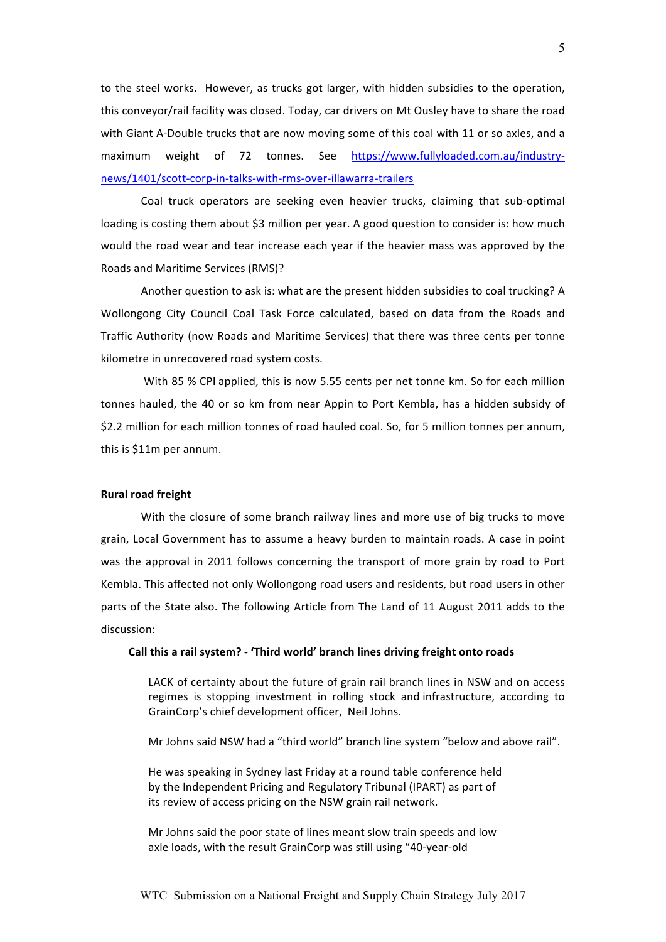to the steel works. However, as trucks got larger, with hidden subsidies to the operation, this conveyor/rail facility was closed. Today, car drivers on Mt Ousley have to share the road with Giant A-Double trucks that are now moving some of this coal with 11 or so axles, and a maximum weight of 72 tonnes. See https://www.fullyloaded.com.au/industrynews/1401/scott-corp-in-talks-with-rms-over-illawarra-trailers

Coal truck operators are seeking even heavier trucks, claiming that sub-optimal loading is costing them about \$3 million per year. A good question to consider is: how much would the road wear and tear increase each year if the heavier mass was approved by the Roads and Maritime Services (RMS)?

Another question to ask is: what are the present hidden subsidies to coal trucking? A Wollongong City Council Coal Task Force calculated, based on data from the Roads and Traffic Authority (now Roads and Maritime Services) that there was three cents per tonne kilometre in unrecovered road system costs.

With 85 % CPI applied, this is now 5.55 cents per net tonne km. So for each million tonnes hauled, the 40 or so km from near Appin to Port Kembla, has a hidden subsidy of \$2.2 million for each million tonnes of road hauled coal. So, for 5 million tonnes per annum, this is \$11m per annum.

# **Rural road freight**

With the closure of some branch railway lines and more use of big trucks to move grain, Local Government has to assume a heavy burden to maintain roads. A case in point was the approval in 2011 follows concerning the transport of more grain by road to Port Kembla. This affected not only Wollongong road users and residents, but road users in other parts of the State also. The following Article from The Land of 11 August 2011 adds to the discussion:

#### **&&&&&&&&&&Call&this&a&rail&system?&5&'Third&world'&branch&lines&driving&freight onto&roads**

LACK of certainty about the future of grain rail branch lines in NSW and on access regimes is stopping investment in rolling stock and infrastructure, according to GrainCorp's chief development officer, Neil Johns.

Mr Johns said NSW had a "third world" branch line system "below and above rail".

He was speaking in Sydney last Friday at a round table conference held by the Independent Pricing and Regulatory Tribunal (IPART) as part of its review of access pricing on the NSW grain rail network.

Mr Johns said the poor state of lines meant slow train speeds and low axle loads, with the result GrainCorp was still using "40-year-old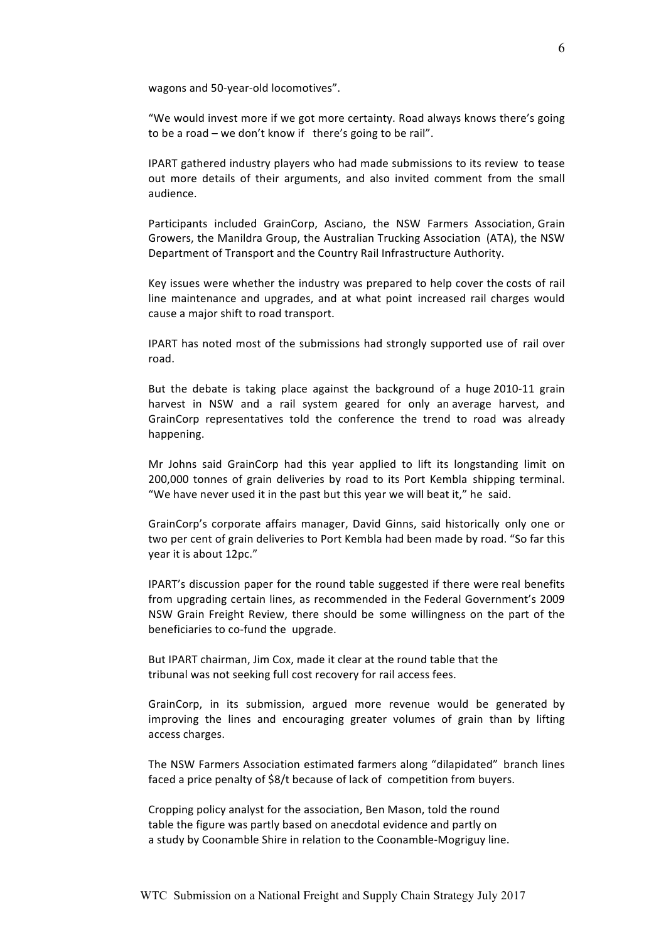wagons and 50-year-old locomotives".

"We would invest more if we got more certainty. Road always knows there's going to be a road – we don't know if there's going to be rail".

IPART gathered industry players who had made submissions to its review to tease out more details of their arguments, and also invited comment from the small audience.

Participants included GrainCorp, Asciano, the NSW Farmers Association, Grain Growers, the Manildra Group, the Australian Trucking Association (ATA), the NSW Department of Transport and the Country Rail Infrastructure Authority.

Key issues were whether the industry was prepared to help cover the costs of rail line maintenance and upgrades, and at what point increased rail charges would cause a major shift to road transport.

IPART has noted most of the submissions had strongly supported use of rail over road.

But the debate is taking place against the background of a huge 2010-11 grain harvest in NSW and a rail system geared for only an average harvest, and GrainCorp representatives told the conference the trend to road was already happening.

Mr Johns said GrainCorp had this year applied to lift its longstanding limit on 200,000 tonnes of grain deliveries by road to its Port Kembla shipping terminal. "We have never used it in the past but this year we will beat it," he said.

GrainCorp's corporate affairs manager, David Ginns, said historically only one or two per cent of grain deliveries to Port Kembla had been made by road. "So far this year it is about 12pc."

IPART's discussion paper for the round table suggested if there were real benefits from upgrading certain lines, as recommended in the Federal Government's 2009 NSW Grain Freight Review, there should be some willingness on the part of the beneficiaries to co-fund the upgrade.

But IPART chairman, Jim Cox, made it clear at the round table that the tribunal was not seeking full cost recovery for rail access fees.

GrainCorp, in its submission, argued more revenue would be generated by improving the lines and encouraging greater volumes of grain than by lifting access charges.

The NSW Farmers Association estimated farmers along "dilapidated" branch lines faced a price penalty of \$8/t because of lack of competition from buyers.

Cropping policy analyst for the association, Ben Mason, told the round table the figure was partly based on anecdotal evidence and partly on a study by Coonamble Shire in relation to the Coonamble-Mogriguy line.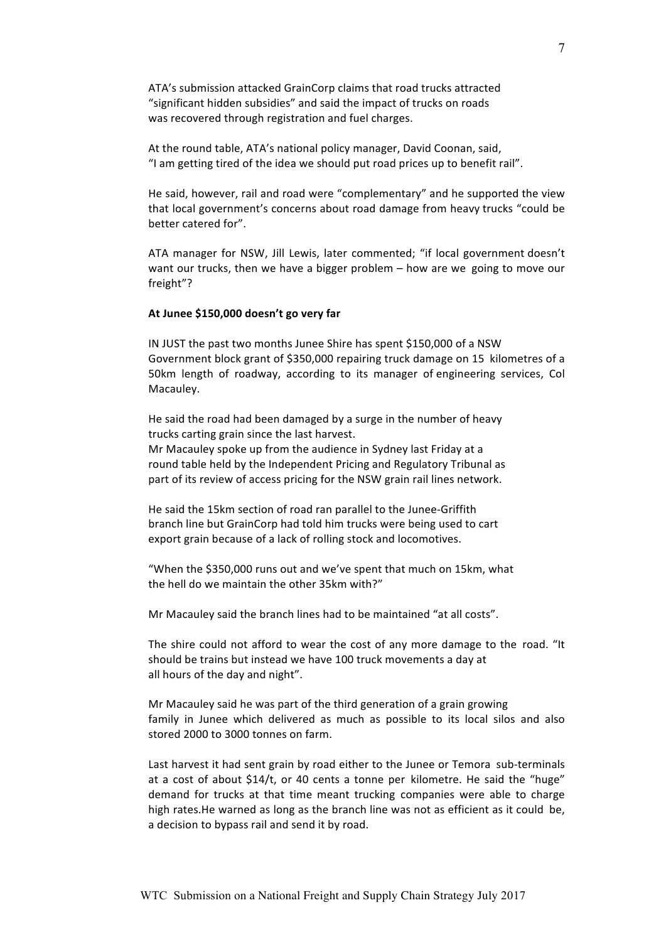ATA's submission attacked GrainCorp claims that road trucks attracted "significant hidden subsidies" and said the impact of trucks on roads was recovered through registration and fuel charges.

At the round table, ATA's national policy manager, David Coonan, said, "I am getting tired of the idea we should put road prices up to benefit rail".

He said, however, rail and road were "complementary" and he supported the view that local government's concerns about road damage from heavy trucks "could be better catered for".

ATA manager for NSW, Jill Lewis, later commented; "if local government doesn't want our trucks, then we have a bigger problem – how are we going to move our freight"?

# At Junee \$150,000 doesn't go very far

IN JUST the past two months Junee Shire has spent \$150,000 of a NSW Government block grant of \$350,000 repairing truck damage on 15 kilometres of a 50km length of roadway, according to its manager of engineering services, Col Macauley.

He said the road had been damaged by a surge in the number of heavy trucks carting grain since the last harvest.

Mr Macauley spoke up from the audience in Sydney last Friday at a round table held by the Independent Pricing and Regulatory Tribunal as part of its review of access pricing for the NSW grain rail lines network.

He said the 15km section of road ran parallel to the Junee-Griffith branch line but GrainCorp had told him trucks were being used to cart export grain because of a lack of rolling stock and locomotives.

"When the \$350,000 runs out and we've spent that much on 15km, what the hell do we maintain the other 35km with?"

Mr Macauley said the branch lines had to be maintained "at all costs".

The shire could not afford to wear the cost of any more damage to the road. "It should be trains but instead we have 100 truck movements a day at all hours of the day and night".

Mr Macauley said he was part of the third generation of a grain growing family in Junee which delivered as much as possible to its local silos and also stored 2000 to 3000 tonnes on farm.

Last harvest it had sent grain by road either to the Junee or Temora sub-terminals at a cost of about \$14/t, or 40 cents a tonne per kilometre. He said the "huge" demand for trucks at that time meant trucking companies were able to charge high rates.He warned as long as the branch line was not as efficient as it could be, a decision to bypass rail and send it by road.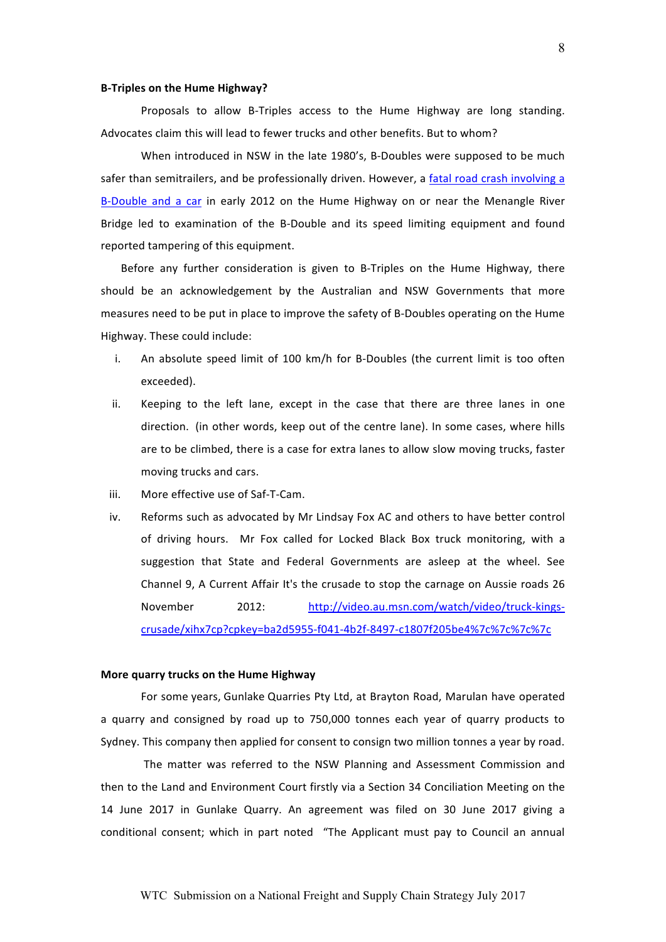#### **B-Triples on the Hume Highway?**

Proposals to allow B-Triples access to the Hume Highway are long standing. Advocates claim this will lead to fewer trucks and other benefits. But to whom?

When introduced in NSW in the late 1980's, B-Doubles were supposed to be much safer than semitrailers, and be professionally driven. However, a fatal road crash involving a B-Double and a car in early 2012 on the Hume Highway on or near the Menangle River Bridge led to examination of the B-Double and its speed limiting equipment and found reported tampering of this equipment.

Before any further consideration is given to B-Triples on the Hume Highway, there should be an acknowledgement by the Australian and NSW Governments that more measures need to be put in place to improve the safety of B-Doubles operating on the Hume Highway. These could include:

- i. An absolute speed limit of 100 km/h for B-Doubles (the current limit is too often exceeded).
- ii. Keeping to the left lane, except in the case that there are three lanes in one direction. (in other words, keep out of the centre lane). In some cases, where hills are to be climbed, there is a case for extra lanes to allow slow moving trucks, faster moving trucks and cars.
- iii. More effective use of Saf-T-Cam.
- iv. Reforms such as advocated by Mr Lindsay Fox AC and others to have better control of! driving! hours.! ! Mr! Fox! called! for! Locked! Black! Box! truck! monitoring,! with! a! suggestion that State and Federal Governments are asleep at the wheel. See Channel 9, A Current Affair It's the crusade to stop the carnage on Aussie roads 26 November 2012: http://video.au.msn.com/watch/video/truck-kingscrusade/xihx7cp?cpkey=ba2d5955-f041-4b2f-8497-c1807f205be4%7c%7c%7c%7c

#### **More quarry trucks on the Hume Highway**

For some years, Gunlake Quarries Pty Ltd, at Brayton Road, Marulan have operated a quarry and consigned by road up to 750,000 tonnes each year of quarry products to Sydney. This company then applied for consent to consign two million tonnes a year by road.

The matter was referred to the NSW Planning and Assessment Commission and then to the Land and Environment Court firstly via a Section 34 Conciliation Meeting on the 14 June 2017 in Gunlake Quarry. An agreement was filed on 30 June 2017 giving a conditional consent; which in part noted "The Applicant must pay to Council an annual